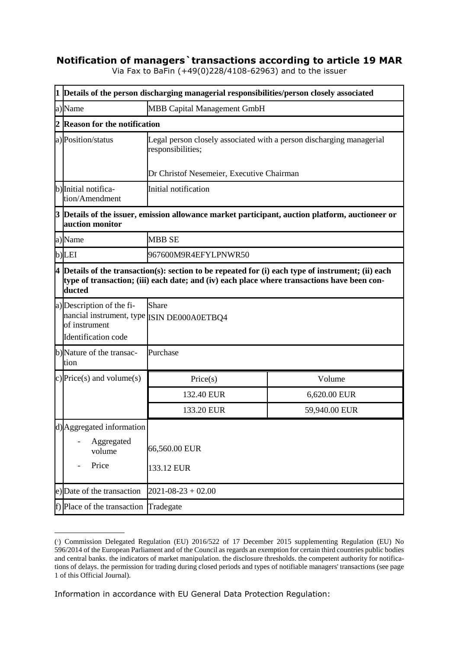## **Notification of managers`transactions according to article 19 MAR**

|                                                                                             | Via Fax to BaFin (+49(0)228/4108-62963) and to the issuer |  |  |
|---------------------------------------------------------------------------------------------|-----------------------------------------------------------|--|--|
| 1   Details of the person discharging managerial responsibilities/person closely associated |                                                           |  |  |
| a) Name                                                                                     | <b>MBB Capital Management GmbH</b>                        |  |  |

Via Fax to BaFin (+49(0)228/4108-62963) and to the issuer

|   | a)Name                                                                                                                                                                                                    | <b>MBB Capital Management GmbH</b>                                                            |               |  |  |
|---|-----------------------------------------------------------------------------------------------------------------------------------------------------------------------------------------------------------|-----------------------------------------------------------------------------------------------|---------------|--|--|
|   | <b>Reason for the notification</b>                                                                                                                                                                        |                                                                                               |               |  |  |
|   | a) Position/status                                                                                                                                                                                        | Legal person closely associated with a person discharging managerial<br>responsibilities;     |               |  |  |
|   |                                                                                                                                                                                                           | Dr Christof Nesemeier, Executive Chairman<br>Initial notification                             |               |  |  |
|   | b) Initial notifica-<br>tion/Amendment                                                                                                                                                                    |                                                                                               |               |  |  |
| 3 | auction monitor                                                                                                                                                                                           | Details of the issuer, emission allowance market participant, auction platform, auctioneer or |               |  |  |
|   | a)Name                                                                                                                                                                                                    | <b>MBB SE</b>                                                                                 |               |  |  |
|   | b)LEI                                                                                                                                                                                                     | 967600M9R4EFYLPNWR50                                                                          |               |  |  |
| 4 | Details of the transaction(s): section to be repeated for (i) each type of instrument; (ii) each<br>type of transaction; (iii) each date; and (iv) each place where transactions have been con-<br>ducted |                                                                                               |               |  |  |
|   | a) Description of the fi-<br>nancial instrument, type ISIN DE000A0ETBQ4<br>of instrument<br>Identification code                                                                                           | Share                                                                                         |               |  |  |
|   | b)Nature of the transac-<br>tion                                                                                                                                                                          | Purchase                                                                                      |               |  |  |
|   | c) Price(s) and volume(s)                                                                                                                                                                                 | Price(s)                                                                                      | Volume        |  |  |
|   |                                                                                                                                                                                                           | 132.40 EUR                                                                                    | 6,620.00 EUR  |  |  |
|   |                                                                                                                                                                                                           | 133.20 EUR                                                                                    | 59,940.00 EUR |  |  |
|   | d) Aggregated information<br>Aggregated<br>volume<br>Price                                                                                                                                                | 66,560.00 EUR<br>133.12 EUR                                                                   |               |  |  |
|   | e) Date of the transaction                                                                                                                                                                                | $2021 - 08 - 23 + 02.00$                                                                      |               |  |  |
|   | f) Place of the transaction<br>Tradegate                                                                                                                                                                  |                                                                                               |               |  |  |

<sup>(</sup> 1 ) Commission Delegated Regulation (EU) 2016/522 of 17 December 2015 supplementing Regulation (EU) No 596/2014 of the European Parliament and of the Council as regards an exemption for certain third countries public bodies and central banks. the indicators of market manipulation. the disclosure thresholds. the competent authority for notifications of delays. the permission for trading during closed periods and types of notifiable managers' transactions (see page 1 of this Official Journal).

Information in accordance with EU General Data Protection Regulation: